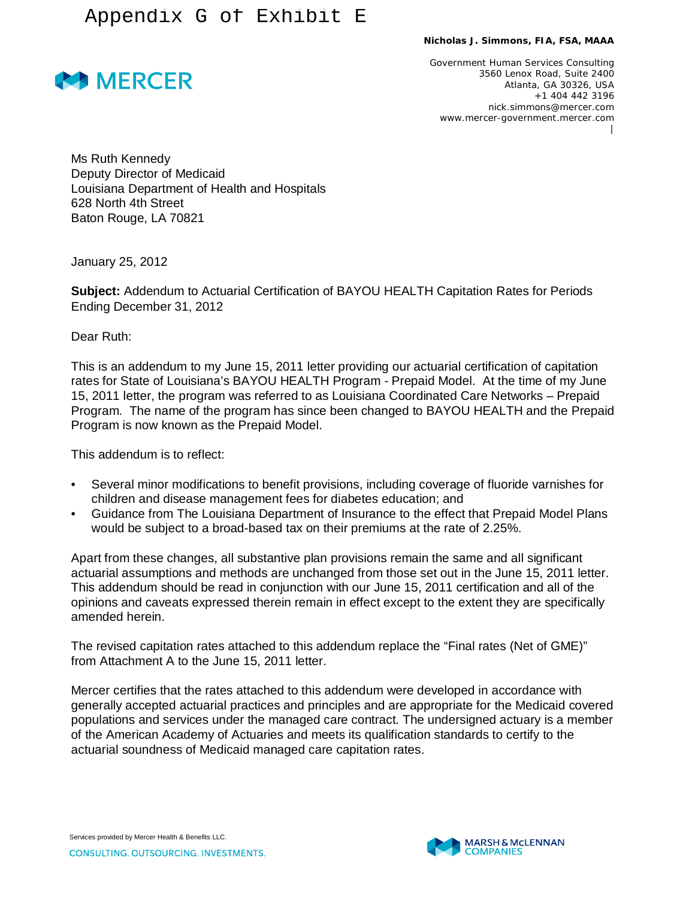



Government Human Services Consulting 3560 Lenox Road, Suite 2400 Atlanta, GA 30326, USA +1 404 442 3196 nick.simmons@mercer.com www.mercer-government.mercer.com |

Ms Ruth Kennedy Deputy Director of Medicaid Louisiana Department of Health and Hospitals 628 North 4th Street Baton Rouge, LA 70821

January 25, 2012

**Subject:** Addendum to Actuarial Certification of BAYOU HEALTH Capitation Rates for Periods Ending December 31, 2012

Dear Ruth:

This is an addendum to my June 15, 2011 letter providing our actuarial certification of capitation rates for State of Louisiana's BAYOU HEALTH Program - Prepaid Model. At the time of my June 15, 2011 letter, the program was referred to as Louisiana Coordinated Care Networks – Prepaid Program. The name of the program has since been changed to BAYOU HEALTH and the Prepaid Program is now known as the Prepaid Model.

This addendum is to reflect:

- Several minor modifications to benefit provisions, including coverage of fluoride varnishes for children and disease management fees for diabetes education; and
- Guidance from The Louisiana Department of Insurance to the effect that Prepaid Model Plans would be subject to a broad-based tax on their premiums at the rate of 2.25%.

Apart from these changes, all substantive plan provisions remain the same and all significant actuarial assumptions and methods are unchanged from those set out in the June 15, 2011 letter. This addendum should be read in conjunction with our June 15, 2011 certification and all of the opinions and caveats expressed therein remain in effect except to the extent they are specifically amended herein.

The revised capitation rates attached to this addendum replace the "Final rates (Net of GME)" from Attachment A to the June 15, 2011 letter.

Mercer certifies that the rates attached to this addendum were developed in accordance with generally accepted actuarial practices and principles and are appropriate for the Medicaid covered populations and services under the managed care contract. The undersigned actuary is a member of the American Academy of Actuaries and meets its qualification standards to certify to the actuarial soundness of Medicaid managed care capitation rates.

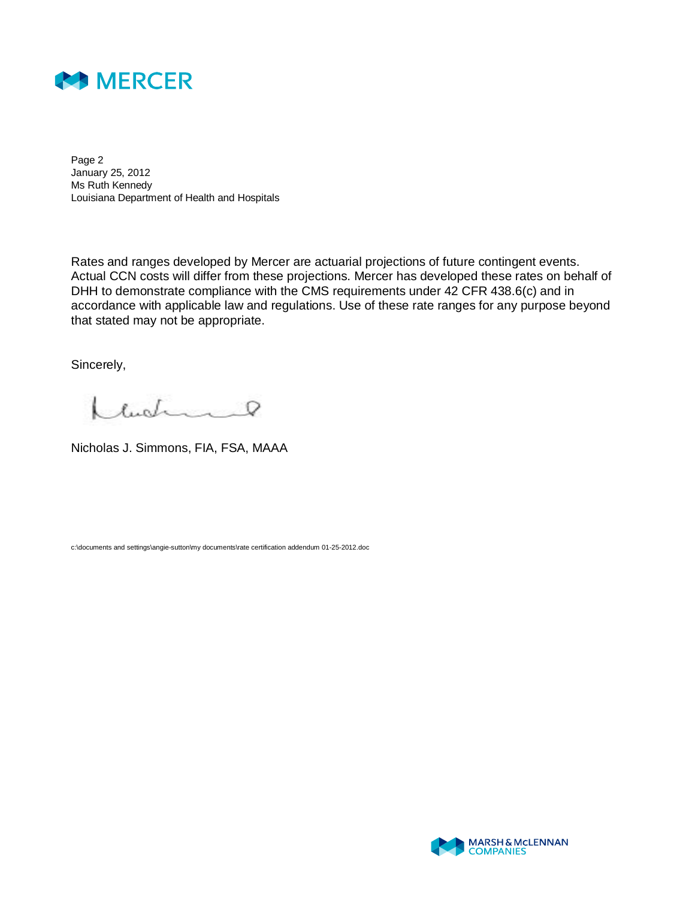

Page 2 January 25, 2012 Ms Ruth Kennedy Louisiana Department of Health and Hospitals

Rates and ranges developed by Mercer are actuarial projections of future contingent events. Actual CCN costs will differ from these projections. Mercer has developed these rates on behalf of DHH to demonstrate compliance with the CMS requirements under 42 CFR 438.6(c) and in accordance with applicable law and regulations. Use of these rate ranges for any purpose beyond that stated may not be appropriate.

Sincerely,

Inder 8

Nicholas J. Simmons, FIA, FSA, MAAA

c:\documents and settings\angie-sutton\my documents\rate certification addendum 01-25-2012.doc

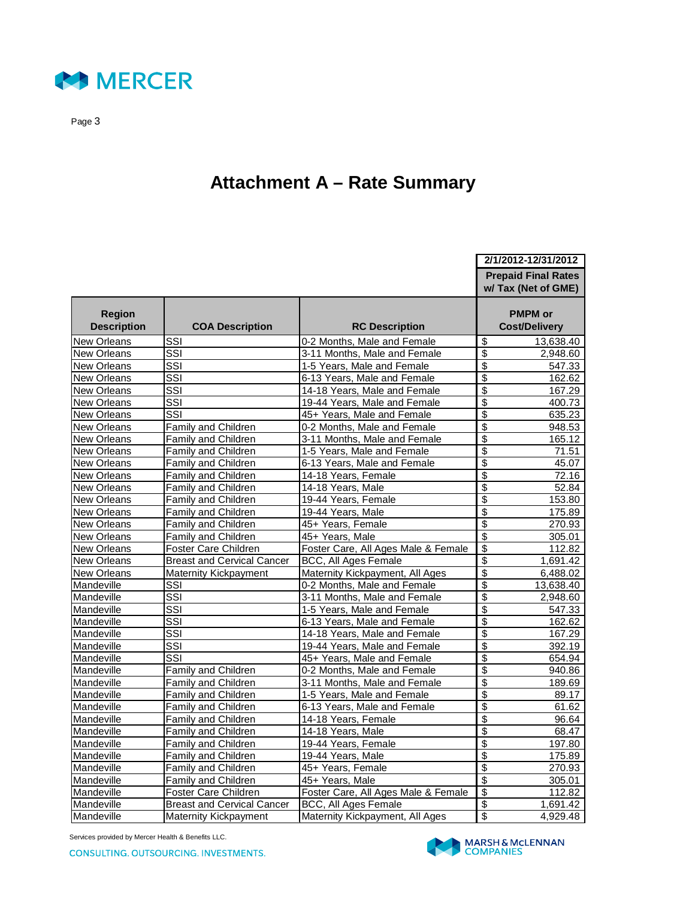

# **Attachment A – Rate Summary**

|                                     |                                   |                                     | 2/1/2012-12/31/2012                    |
|-------------------------------------|-----------------------------------|-------------------------------------|----------------------------------------|
|                                     |                                   |                                     | <b>Prepaid Final Rates</b>             |
|                                     |                                   |                                     | w/ Tax (Net of GME)                    |
| <b>Region</b><br><b>Description</b> | <b>COA Description</b>            | <b>RC Description</b>               | <b>PMPM</b> or<br><b>Cost/Delivery</b> |
| New Orleans                         | SSI                               | 0-2 Months, Male and Female         | \$<br>13,638.40                        |
| New Orleans                         | SSI                               | 3-11 Months, Male and Female        | $\overline{\$}$<br>2,948.60            |
| <b>New Orleans</b>                  | SSI                               | 1-5 Years, Male and Female          | \$<br>547.33                           |
| <b>New Orleans</b>                  | $\overline{\text{SSI}}$           | 6-13 Years, Male and Female         | $\overline{\$}$<br>162.62              |
| <b>New Orleans</b>                  | SSI                               | 14-18 Years, Male and Female        | \$<br>167.29                           |
| New Orleans                         | $\overline{\text{SSI}}$           | 19-44 Years, Male and Female        | \$<br>400.73                           |
| New Orleans                         | SSI                               | 45+ Years, Male and Female          | \$<br>635.23                           |
| New Orleans                         | Family and Children               | 0-2 Months, Male and Female         | \$<br>948.53                           |
| New Orleans                         | Family and Children               | 3-11 Months, Male and Female        | $\overline{\$}$<br>165.12              |
| <b>New Orleans</b>                  | Family and Children               | 1-5 Years, Male and Female          | \$<br>71.51                            |
| <b>New Orleans</b>                  | Family and Children               | 6-13 Years, Male and Female         | $\overline{\$}$<br>45.07               |
| <b>New Orleans</b>                  | Family and Children               | 14-18 Years, Female                 | $\overline{\$}$<br>72.16               |
| New Orleans                         | Family and Children               | 14-18 Years, Male                   | \$<br>52.84                            |
| New Orleans                         | <b>Family and Children</b>        | 19-44 Years, Female                 | $\overline{\$}$<br>153.80              |
| <b>New Orleans</b>                  | Family and Children               | 19-44 Years, Male                   | \$<br>175.89                           |
| New Orleans                         | Family and Children               | 45+ Years, Female                   | $\overline{\$}$<br>270.93              |
| New Orleans                         | Family and Children               | 45+ Years, Male                     | \$<br>305.01                           |
| New Orleans                         | Foster Care Children              | Foster Care, All Ages Male & Female | \$<br>112.82                           |
| New Orleans                         | <b>Breast and Cervical Cancer</b> | BCC, All Ages Female                | \$<br>1,691.42                         |
| New Orleans                         | <b>Maternity Kickpayment</b>      | Maternity Kickpayment, All Ages     | $\overline{\$}$<br>6,488.02            |
| Mandeville                          | SSI                               | 0-2 Months, Male and Female         | $\overline{\$}$<br>13,638.40           |
| Mandeville                          | $\overline{\text{SSI}}$           | 3-11 Months, Male and Female        | \$<br>2,948.60                         |
| Mandeville                          | $\overline{\text{SSI}}$           | 1-5 Years, Male and Female          | \$<br>547.33                           |
| Mandeville                          | $\overline{\text{SSI}}$           | 6-13 Years, Male and Female         | \$<br>162.62                           |
| Mandeville                          | SSI                               | 14-18 Years, Male and Female        | \$<br>167.29                           |
| Mandeville                          | $\overline{\text{SSI}}$           | 19-44 Years, Male and Female        | $\overline{\$}$<br>392.19              |
| Mandeville                          | SSI                               | 45+ Years, Male and Female          | \$<br>654.94                           |
| Mandeville                          | Family and Children               | 0-2 Months, Male and Female         | \$<br>940.86                           |
| Mandeville                          | Family and Children               | 3-11 Months, Male and Female        | $\overline{\$}$<br>189.69              |
| Mandeville                          | <b>Family and Children</b>        | 1-5 Years, Male and Female          | \$<br>89.17                            |
| Mandeville                          | Family and Children               | 6-13 Years, Male and Female         | \$<br>61.62                            |
| Mandeville                          | <b>Family and Children</b>        | 14-18 Years, Female                 | \$<br>96.64                            |
| Mandeville                          | Family and Children               | 14-18 Years, Male                   | \$<br>68.47                            |
| Mandeville                          | Family and Children               | 19-44 Years, Female                 | $\overline{\$}$<br>197.80              |
| Mandeville                          | Family and Children               | 19-44 Years, Male                   | \$<br>175.89                           |
| Mandeville                          | Family and Children               | 45+ Years, Female                   | $\overline{\$}$<br>270.93              |
| Mandeville                          | Family and Children               | 45+ Years, Male                     | \$<br>305.01                           |
| Mandeville                          | <b>Foster Care Children</b>       | Foster Care, All Ages Male & Female | \$<br>112.82                           |
| Mandeville                          | <b>Breast and Cervical Cancer</b> | <b>BCC, All Ages Female</b>         | \$<br>1,691.42                         |
| Mandeville                          | <b>Maternity Kickpayment</b>      | Maternity Kickpayment, All Ages     | $\overline{\$}$<br>4,929.48            |

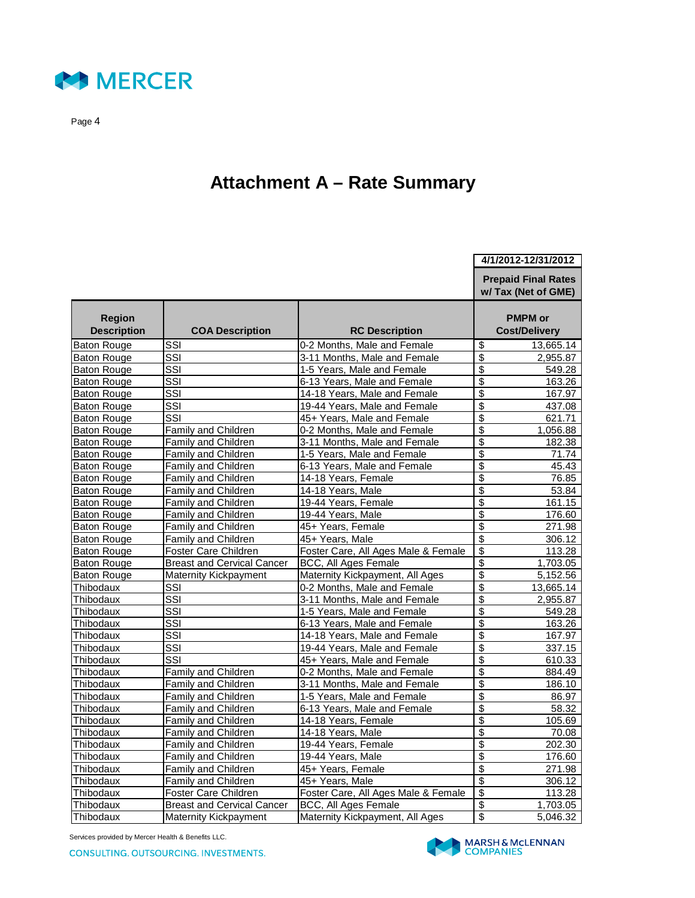

# **Attachment A – Rate Summary**

|                                     |                                   |                                     | 4/1/2012-12/31/2012                               |
|-------------------------------------|-----------------------------------|-------------------------------------|---------------------------------------------------|
|                                     |                                   |                                     | <b>Prepaid Final Rates</b><br>w/ Tax (Net of GME) |
| <b>Region</b><br><b>Description</b> | <b>COA Description</b>            | <b>RC Description</b>               | <b>PMPM</b> or<br><b>Cost/Delivery</b>            |
| <b>Baton Rouge</b>                  | SSI                               | 0-2 Months, Male and Female         | $\overline{\mathcal{G}}$<br>13,665.14             |
| <b>Baton Rouge</b>                  | $\overline{\text{SSI}}$           | 3-11 Months, Male and Female        | $\overline{\$}$<br>2,955.87                       |
| <b>Baton Rouge</b>                  | SSI                               | 1-5 Years, Male and Female          | $\overline{\$}$<br>549.28                         |
| <b>Baton Rouge</b>                  | SSI                               | 6-13 Years, Male and Female         | $\overline{\$}$<br>163.26                         |
| <b>Baton Rouge</b>                  | SSI                               | 14-18 Years, Male and Female        | \$<br>167.97                                      |
| <b>Baton Rouge</b>                  | SSI                               | 19-44 Years, Male and Female        | \$<br>437.08                                      |
| <b>Baton Rouge</b>                  | SSI                               | 45+ Years, Male and Female          | $\overline{\$}$<br>621.71                         |
| <b>Baton Rouge</b>                  | Family and Children               | 0-2 Months, Male and Female         | $\overline{\mathcal{S}}$<br>1,056.88              |
| <b>Baton Rouge</b>                  | Family and Children               | 3-11 Months, Male and Female        | \$<br>182.38                                      |
| <b>Baton Rouge</b>                  | Family and Children               | 1-5 Years, Male and Female          | $\overline{\mathfrak{s}}$<br>71.74                |
| <b>Baton Rouge</b>                  | Family and Children               | 6-13 Years, Male and Female         | \$<br>45.43                                       |
| <b>Baton Rouge</b>                  | Family and Children               | 14-18 Years, Female                 | $\overline{\$}$<br>76.85                          |
| <b>Baton Rouge</b>                  | Family and Children               | 14-18 Years, Male                   | \$<br>53.84                                       |
| <b>Baton Rouge</b>                  | Family and Children               | 19-44 Years, Female                 | \$<br>161.15                                      |
| <b>Baton Rouge</b>                  | Family and Children               | 19-44 Years, Male                   | $\overline{\$}$<br>176.60                         |
| <b>Baton Rouge</b>                  | Family and Children               | 45+ Years, Female                   | $\overline{\$}$<br>271.98                         |
| <b>Baton Rouge</b>                  | Family and Children               | 45+ Years, Male                     | $\overline{\$}$<br>306.12                         |
| <b>Baton Rouge</b>                  | Foster Care Children              | Foster Care, All Ages Male & Female | $\overline{\$}$<br>113.28                         |
| <b>Baton Rouge</b>                  | <b>Breast and Cervical Cancer</b> | BCC, All Ages Female                | \$<br>1,703.05                                    |
| <b>Baton Rouge</b>                  | <b>Maternity Kickpayment</b>      | Maternity Kickpayment, All Ages     | \$<br>5,152.56                                    |
| Thibodaux                           | SSI                               | 0-2 Months, Male and Female         | $\overline{\mathbb{S}}$<br>13,665.14              |
| Thibodaux                           | $\overline{\text{SSI}}$           | 3-11 Months, Male and Female        | \$<br>2,955.87                                    |
| Thibodaux                           | SSI                               | 1-5 Years, Male and Female          | \$<br>549.28                                      |
| Thibodaux                           | $\overline{\text{SSI}}$           | 6-13 Years, Male and Female         | $\overline{\$}$<br>163.26                         |
| Thibodaux                           | $\overline{\text{SSI}}$           | 14-18 Years, Male and Female        | $\overline{\$}$<br>167.97                         |
| Thibodaux                           | SSI                               | 19-44 Years, Male and Female        | \$<br>337.15                                      |
| Thibodaux                           | $\overline{\text{SSI}}$           | 45+ Years, Male and Female          | \$<br>610.33                                      |
| Thibodaux                           | Family and Children               | 0-2 Months, Male and Female         | \$<br>884.49                                      |
| Thibodaux                           | Family and Children               | 3-11 Months, Male and Female        | \$<br>186.10                                      |
| Thibodaux                           | Family and Children               | 1-5 Years, Male and Female          | $\overline{\mathcal{E}}$<br>86.97                 |
| Thibodaux                           | Family and Children               | 6-13 Years, Male and Female         | $\overline{\$}$<br>58.32                          |
| Thibodaux                           | Family and Children               | 14-18 Years, Female                 | $\overline{\mathcal{L}}$<br>105.69                |
| Thibodaux                           | Family and Children               | 14-18 Years, Male                   | \$<br>70.08                                       |
| Thibodaux                           | Family and Children               | 19-44 Years, Female                 | $\overline{\$}$<br>202.30                         |
| Thibodaux                           | Family and Children               | 19-44 Years, Male                   | \$<br>176.60                                      |
| Thibodaux                           | Family and Children               | 45+ Years, Female                   | $\overline{\mathcal{L}}$<br>271.98                |
| Thibodaux                           | Family and Children               | 45+ Years, Male                     | $\overline{\mathcal{S}}$<br>306.12                |
| Thibodaux                           | Foster Care Children              | Foster Care, All Ages Male & Female | $\overline{\$}$<br>113.28                         |
| Thibodaux                           | <b>Breast and Cervical Cancer</b> | BCC, All Ages Female                | $\overline{\$}$<br>1,703.05                       |
| Thibodaux                           | <b>Maternity Kickpayment</b>      | Maternity Kickpayment, All Ages     | $\overline{\boldsymbol{\mathsf{s}}}$<br>5,046.32  |

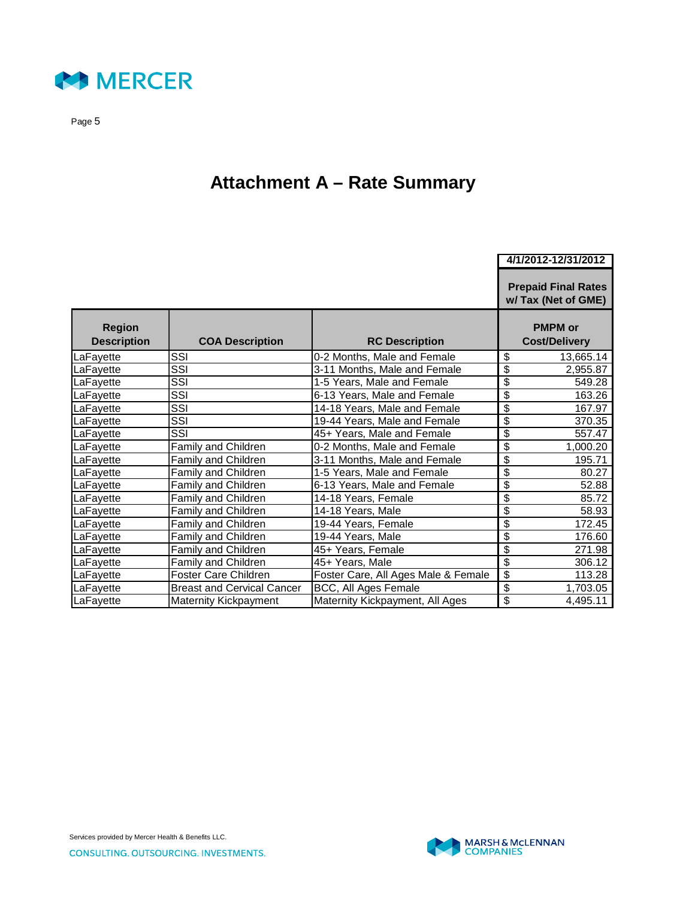

# **Attachment A – Rate Summary**

|                                     |                                   |                                     | 4/1/2012-12/31/2012                               |
|-------------------------------------|-----------------------------------|-------------------------------------|---------------------------------------------------|
|                                     |                                   |                                     |                                                   |
|                                     |                                   |                                     | <b>Prepaid Final Rates</b><br>w/ Tax (Net of GME) |
| <b>Region</b><br><b>Description</b> | <b>COA Description</b>            | <b>RC Description</b>               | <b>PMPM</b> or<br><b>Cost/Delivery</b>            |
| LaFayette                           | SSI                               | 0-2 Months, Male and Female         | \$<br>13,665.14                                   |
| LaFayette                           | $\overline{\text{SSI}}$           | 3-11 Months, Male and Female        | $\overline{\$}$<br>2.955.87                       |
| LaFayette                           | SSI                               | 1-5 Years, Male and Female          | \$<br>549.28                                      |
| LaFayette                           | SSI                               | 6-13 Years, Male and Female         | $\overline{\mathbf{S}}$<br>163.26                 |
| LaFayette                           | SSI                               | 14-18 Years, Male and Female        | $\overline{\$}$<br>167.97                         |
| LaFayette                           | SSI                               | 19-44 Years, Male and Female        | $\overline{\boldsymbol{\theta}}$<br>370.35        |
| LaFayette                           | SSI                               | 45+ Years, Male and Female          | $\overline{\boldsymbol{\theta}}$<br>557.47        |
| LaFayette                           | Family and Children               | 0-2 Months, Male and Female         | $\overline{\$}$<br>1.000.20                       |
| LaFayette                           | Family and Children               | 3-11 Months, Male and Female        | \$<br>195.71                                      |
| LaFayette                           | <b>Family and Children</b>        | 1-5 Years, Male and Female          | $\overline{\boldsymbol{\theta}}$<br>80.27         |
| LaFayette                           | <b>Family and Children</b>        | 6-13 Years, Male and Female         | \$<br>52.88                                       |
| LaFayette                           | Family and Children               | 14-18 Years, Female                 | \$<br>85.72                                       |
| LaFayette                           | <b>Family and Children</b>        | 14-18 Years, Male                   | $\overline{\$}$<br>58.93                          |
| LaFayette                           | Family and Children               | 19-44 Years, Female                 | \$<br>172.45                                      |
| LaFayette                           | Family and Children               | 19-44 Years, Male                   | $\overline{\mathcal{L}}$<br>176.60                |
| LaFayette                           | Family and Children               | 45+ Years, Female                   | $\overline{\$}$<br>271.98                         |
| LaFayette                           | Family and Children               | 45+ Years, Male                     | \$<br>306.12                                      |
| LaFayette                           | Foster Care Children              | Foster Care, All Ages Male & Female | $\overline{\$}$<br>113.28                         |
| LaFayette                           | <b>Breast and Cervical Cancer</b> | BCC, All Ages Female                | $\overline{\$}$<br>1,703.05                       |
| LaFayette                           | <b>Maternity Kickpayment</b>      | Maternity Kickpayment, All Ages     | \$<br>4,495.11                                    |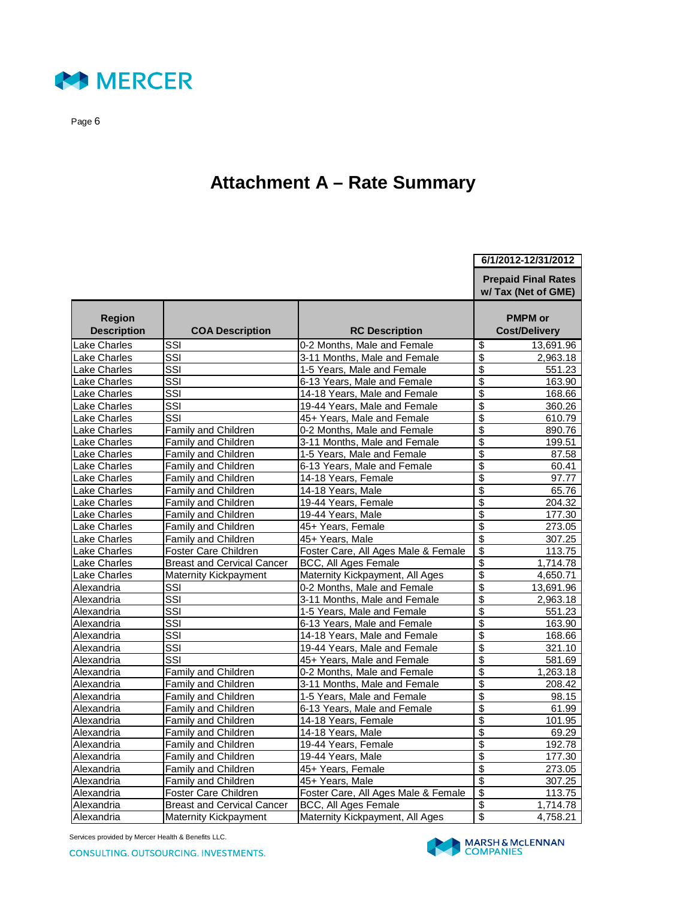

# **Attachment A – Rate Summary**

|                                     |                                   |                                     |                           | 6/1/2012-12/31/2012                               |
|-------------------------------------|-----------------------------------|-------------------------------------|---------------------------|---------------------------------------------------|
|                                     |                                   |                                     |                           | <b>Prepaid Final Rates</b><br>w/ Tax (Net of GME) |
| <b>Region</b><br><b>Description</b> | <b>COA Description</b>            | <b>RC Description</b>               |                           | <b>PMPM</b> or<br><b>Cost/Delivery</b>            |
| Lake Charles                        | SSI                               | 0-2 Months, Male and Female         | $\overline{\$}$           | 13,691.96                                         |
| Lake Charles                        | $\overline{\text{SSI}}$           | 3-11 Months, Male and Female        | $\overline{\$}$           | $\overline{2,}963.18$                             |
| Lake Charles                        | SSI                               | 1-5 Years. Male and Female          | $\overline{\$}$           | 551.23                                            |
| Lake Charles                        | $\overline{\text{SSI}}$           | 6-13 Years, Male and Female         | $\overline{\$}$           | 163.90                                            |
| Lake Charles                        | $\overline{\text{SSI}}$           | 14-18 Years, Male and Female        | $\overline{\$}$           | 168.66                                            |
| Lake Charles                        | SSI                               | 19-44 Years, Male and Female        | $\overline{\$}$           | 360.26                                            |
| Lake Charles                        | SSI                               | 45+ Years, Male and Female          | $\overline{\$}$           | 610.79                                            |
| Lake Charles                        | <b>Family and Children</b>        | 0-2 Months, Male and Female         | $\overline{\mathbf{S}}$   | 890.76                                            |
| Lake Charles                        | Family and Children               | 3-11 Months, Male and Female        | $\overline{\$}$           | 199.51                                            |
| Lake Charles                        | Family and Children               | 1-5 Years, Male and Female          | $\overline{\mathcal{S}}$  | 87.58                                             |
| Lake Charles                        | <b>Family and Children</b>        | 6-13 Years, Male and Female         | $\overline{\$}$           | 60.41                                             |
| Lake Charles                        | Family and Children               | 14-18 Years, Female                 | $\overline{\$}$           | 97.77                                             |
| Lake Charles                        | <b>Family and Children</b>        | 14-18 Years, Male                   | $\overline{\$}$           | 65.76                                             |
| Lake Charles                        | Family and Children               | 19-44 Years, Female                 | $\overline{\$}$           | 204.32                                            |
| Lake Charles                        | Family and Children               | 19-44 Years, Male                   | \$                        | 177.30                                            |
| Lake Charles                        | Family and Children               | 45+ Years, Female                   | \$                        | 273.05                                            |
| Lake Charles                        | Family and Children               | 45+ Years, Male                     | $\overline{\$}$           | 307.25                                            |
| Lake Charles                        | <b>Foster Care Children</b>       | Foster Care, All Ages Male & Female | $\overline{\mathcal{L}}$  | 113.75                                            |
| Lake Charles                        | <b>Breast and Cervical Cancer</b> | BCC, All Ages Female                | $\overline{\mathfrak{s}}$ | 1,714.78                                          |
| Lake Charles                        | Maternity Kickpayment             | Maternity Kickpayment, All Ages     | $\overline{\$}$           | 4,650.71                                          |
| Alexandria                          | SSI                               | 0-2 Months, Male and Female         | $\overline{\$}$           | 13,691.96                                         |
| Alexandria                          | SSI                               | 3-11 Months, Male and Female        | $\overline{\$}$           | 2,963.18                                          |
| Alexandria                          | SSI                               | 1-5 Years, Male and Female          | \$                        | 551.23                                            |
| Alexandria                          | $\overline{\text{SSI}}$           | 6-13 Years, Male and Female         | $\overline{\$}$           | 163.90                                            |
| Alexandria                          | $\overline{\text{SSI}}$           | 14-18 Years, Male and Female        | \$                        | 168.66                                            |
| Alexandria                          | $\overline{\text{SSI}}$           | 19-44 Years, Male and Female        | $\overline{\$}$           | 321.10                                            |
| Alexandria                          | SSI                               | 45+ Years, Male and Female          | \$                        | 581.69                                            |
| Alexandria                          | Family and Children               | 0-2 Months, Male and Female         | $\overline{\$}$           | 1,263.18                                          |
| Alexandria                          | <b>Family and Children</b>        | 3-11 Months, Male and Female        | $\overline{\$}$           | 208.42                                            |
| Alexandria                          | Family and Children               | 1-5 Years, Male and Female          | $\overline{\$}$           | 98.15                                             |
| Alexandria                          | Family and Children               | 6-13 Years, Male and Female         | \$                        | 61.99                                             |
| Alexandria                          | Family and Children               | 14-18 Years, Female                 | $\overline{\$}$           | $\overline{101.95}$                               |
| Alexandria                          | Family and Children               | 14-18 Years, Male                   | $\overline{\$}$           | 69.29                                             |
| Alexandria                          | Family and Children               | 19-44 Years, Female                 | $\overline{\$}$           | 192.78                                            |
| Alexandria                          | <b>Family and Children</b>        | 19-44 Years, Male                   | \$                        | 177.30                                            |
| Alexandria                          | Family and Children               | 45+ Years, Female                   | $\overline{\$}$           | 273.05                                            |
| Alexandria                          | Family and Children               | 45+ Years, Male                     | \$                        | 307.25                                            |
| Alexandria                          | Foster Care Children              | Foster Care, All Ages Male & Female | $\overline{\mathbf{S}}$   | 113.75                                            |
| Alexandria                          | <b>Breast and Cervical Cancer</b> | BCC, All Ages Female                | $\overline{\$}$           | $\overline{1,714.78}$                             |
| Alexandria                          | Maternity Kickpayment             | Maternity Kickpayment, All Ages     | $\overline{\mathbf{s}}$   | 4,758.21                                          |